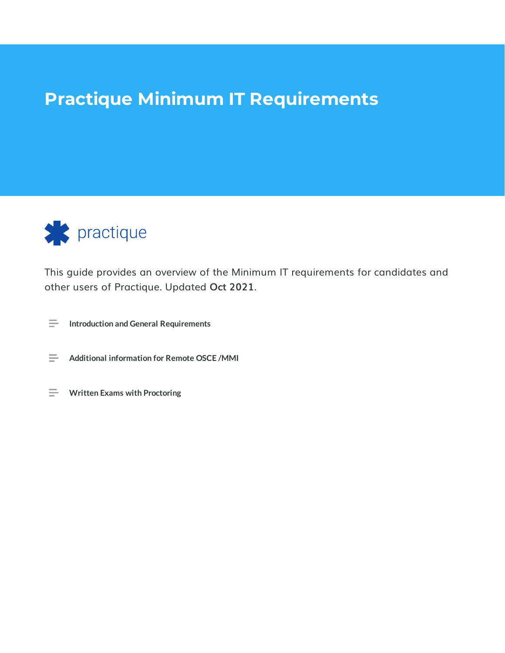# **Practique Minimum IT Requirements**



This guide provides an overview of the Minimum IT requirements for candidates and other users of Practique. Updated **Oct 2021**.

- **Introduction and General Requirements**
- **Additional information for Remote OSCE /MMI**
- **Written Exams with Proctoring**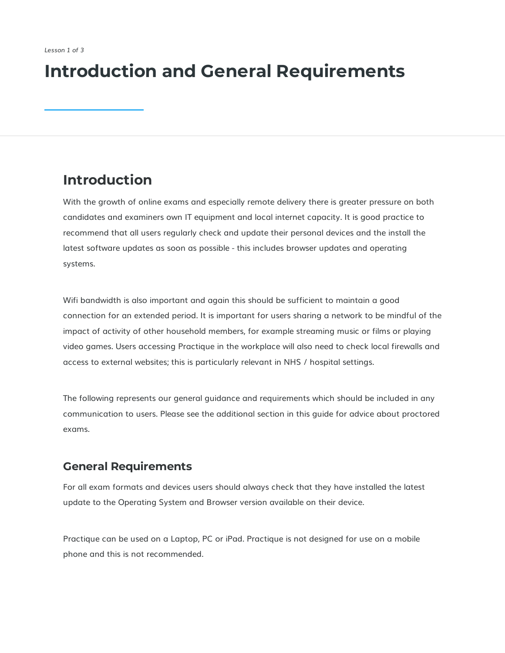# **Introduction and General Requirements**

## **Introduction**

With the growth of online exams and especially remote delivery there is greater pressure on both candidates and examiners own IT equipment and local internet capacity. It is good practice to recommend that all users regularly check and update their personal devices and the install the latest software updates as soon as possible - this includes browser updates and operating systems.

Wifi bandwidth is also important and again this should be sufficient to maintain a good connection for an extended period. It is important for users sharing a network to be mindful of the impact of activity of other household members, for example streaming music or films or playing video games. Users accessing Practique in the workplace will also need to check local firewalls and access to external websites; this is particularly relevant in NHS / hospital settings.

The following represents our general guidance and requirements which should be included in any communication to users. Please see the additional section in this guide for advice about proctored exams.

## **General Requirements**

For all exam formats and devices users should always check that they have installed the latest update to the Operating System and Browser version available on their device.

Practique can be used on a Laptop, PC or iPad. Practique is not designed for use on a mobile phone and this is not recommended.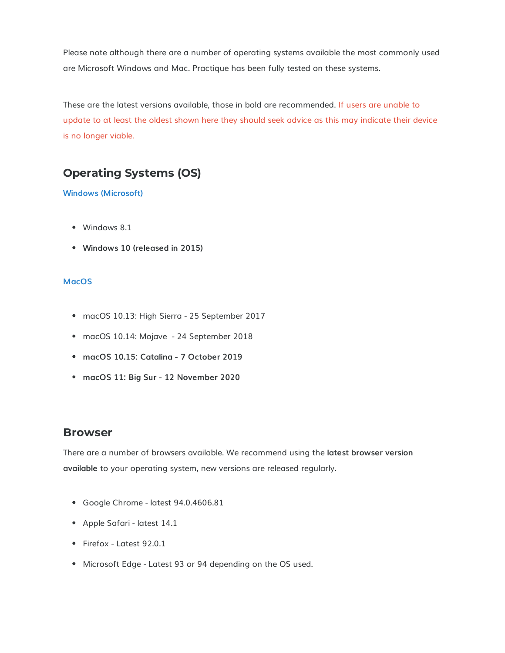Please note although there are a number of operating systems available the most commonly used are Microsoft Windows and Mac. Practique has been fully tested on these systems.

These are the latest versions available, those in bold are recommended. If users are unable to update to at least the oldest shown here they should seek advice as this may indicate their device is no longer viable.

## **Operating Systems (OS)**

#### **Windows (Microsoft)**

- Windows 8.1
- **Windows 10 (released in 2015)**

#### **MacOS**

- macOS 10.13: High Sierra 25 September 2017
- macOS 10.14: Mojave 24 September 2018
- **macOS 10.15: Catalina - 7 October 2019**
- **macOS 11: Big Sur - 12 November 2020**

#### **Browser**

There are a number of browsers available. We recommend using the **latest browser version available** to your operating system, new versions are released regularly.

- Google Chrome latest 94.0.4606.81
- Apple Safari latest 14.1
- Firefox Latest 92.0.1
- Microsoft Edge Latest 93 or 94 depending on the OS used.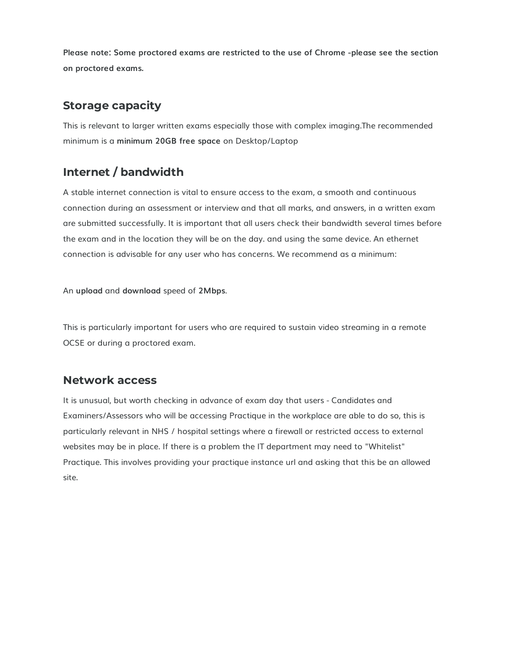**Please note: Some proctored exams are restricted to the use of Chrome -please see the section on proctored exams.**

## **Storage capacity**

This is relevant to larger written exams especially those with complex imaging.The recommended minimum is a **minimum 20GB free space** on Desktop/Laptop

## **Internet / bandwidth**

A stable internet connection is vital to ensure access to the exam, a smooth and continuous connection during an assessment or interview and that all marks, and answers, in a written exam are submitted successfully. It is important that all users check their bandwidth several times before the exam and in the location they will be on the day. and using the same device. An ethernet connection is advisable for any user who has concerns. We recommend as a minimum:

An **upload** and **download** speed of **2Mbps**.

This is particularly important for users who are required to sustain video streaming in a remote OCSE or during a proctored exam.

#### **Network access**

It is unusual, but worth checking in advance of exam day that users - Candidates and Examiners/Assessors who will be accessing Practique in the workplace are able to do so, this is particularly relevant in NHS / hospital settings where a firewall or restricted access to external websites may be in place. If there is a problem the IT department may need to "Whitelist" Practique. This involves providing your practique instance url and asking that this be an allowed site.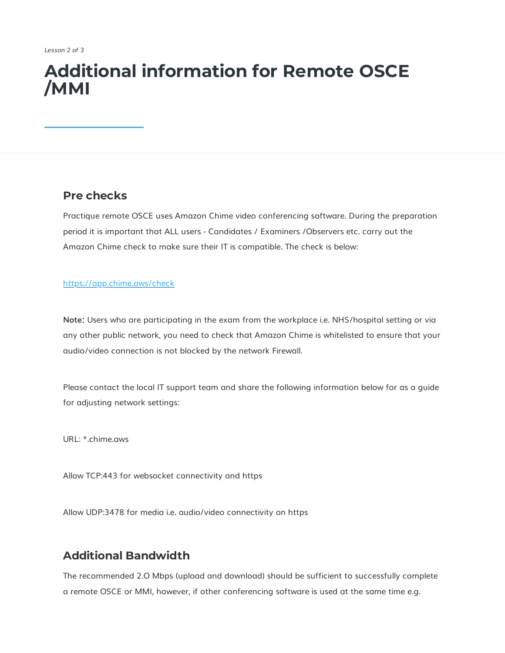# **Additional information for Remote OSCE /MMI**

#### **Pre checks**

Practique remote OSCE uses Amazon Chime video conferencing software. During the preparation period it is important that ALL users - Candidates / Examiners /Observers etc. carry out the Amazon Chime check to make sure their IT is compatible. The check is below:

#### <https://app.chime.aws/check>

**Note:** Users who are participating in the exam from the workplace i.e. NHS/hospital setting or via any other public network, you need to check that Amazon Chime is whitelisted to ensure that your audio/video connection is not blocked by the network Firewall.

Please contact the local IT support team and share the following information below for as a guide for adjusting network settings:

URL: \*.chime.aws

Allow TCP:443 for websocket connectivity and https

Allow UDP:3478 for media i.e. audio/video connectivity on https

#### **Additional Bandwidth**

The recommended 2.O Mbps (upload and download) should be sufficient to successfully complete a remote OSCE or MMI, however, if other conferencing software is used at the same time e.g.